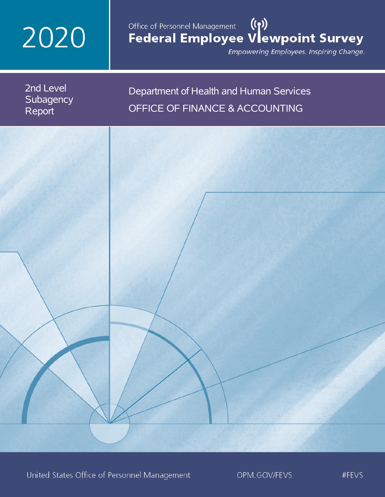# 2020

## Office of Personnel Management (())<br>Federal Employee Vlewpoint Survey

Empowering Employees. Inspiring Change.

2nd Level **Subagency** Report

## Department of Health and Human Services OFFICE OF FINANCE & ACCOUNTING

United States Office of Personnel Management

OPM.GOV/FEVS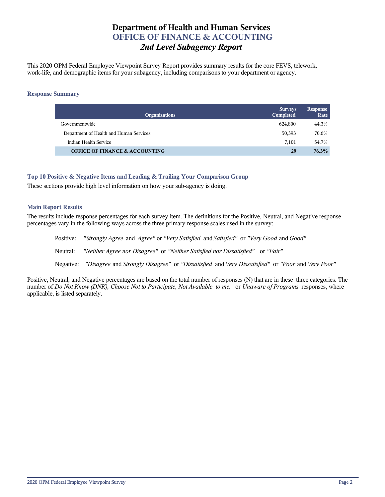## **Department of Health and Human Services OFFICE OF FINANCE & ACCOUNTING** *2nd Level Subagency Report*

This 2020 OPM Federal Employee Viewpoint Survey Report provides summary results for the core FEVS, telework, work-life, and demographic items for your subagency, including comparisons to your department or agency.

#### **Response Summary**

| <b>Organizations</b>                      | <b>Surveys</b><br>Completed | <b>Response</b><br>Rate |
|-------------------------------------------|-----------------------------|-------------------------|
| Governmentwide                            | 624.800                     | 44.3%                   |
| Department of Health and Human Services   | 50,393                      | 70.6%                   |
| Indian Health Service                     | 7.101                       | 54.7%                   |
| <b>OFFICE OF FINANCE &amp; ACCOUNTING</b> | 29                          | 76.3%                   |

#### **Top 10 Positive & Negative Items and Leading & Trailing Your Comparison Group**

These sections provide high level information on how your sub-agency is doing.

#### **Main Report Results**

The results include response percentages for each survey item. The definitions for the Positive, Neutral, and Negative response percentages vary in the following ways across the three primary response scales used in the survey:

Positive: *"Strongly Agree* and *Agree"* or *"Very Satisfied* and *Satisfied"* or *"Very Good* and *Good"* Neutral: *"Neither Agree nor Disagree"* or *"Neither Satisfied nor Dissatisfied"* or *"Fair"* Negative: *"Disagree* and *Strongly Disagree"* or *"Dissatisfied* and *Very Dissatisfied"* or *"Poor* and *Very Poor"*

Positive, Neutral, and Negative percentages are based on the total number of responses (N) that are in these three categories. The number of *Do Not Know (DNK), Choose Not to Participate, Not Available to me,* or *Unaware of Programs* responses, where applicable, is listed separately.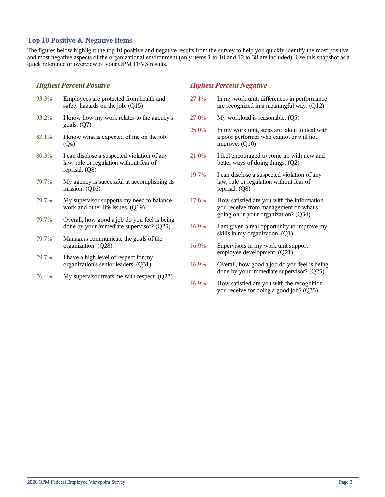#### **Top 10 Positive & Negative Items**

The figures below highlight the top 10 positive and negative results from the survey to help you quickly identify the most positive and most negative aspects of the organizational environment (only items 1 to 10 and 12 to 38 are included). Use this snapshot as a quick reference or overview of your OPM FEVS results.

#### *Highest Percent Positive*

| 93.3% | Employees are protected from health and<br>safety hazards on the job. (Q15)                              |
|-------|----------------------------------------------------------------------------------------------------------|
| 93.2% | I know how my work relates to the agency's<br>goals. $(Q7)$                                              |
| 83.1% | I know what is expected of me on the job.<br>(Q4)                                                        |
| 80.3% | I can disclose a suspected violation of any<br>law, rule or regulation without fear of<br>reprisal. (Q8) |
| 79.7% | My agency is successful at accomplishing its<br>mission. $(Q16)$                                         |
| 79.7% | My supervisor supports my need to balance<br>work and other life issues. (Q19)                           |
| 79.7% | Overall, how good a job do you feel is being<br>done by your immediate supervisor? (Q25)                 |
| 79.7% | Managers communicate the goals of the<br>organization. (Q28)                                             |
| 79.7% | I have a high level of respect for my<br>organization's senior leaders. (Q31)                            |

76.4% My supervisor treats me with respect. (Q23)

#### *Highest Percent Negative*

- 27.1% In my work unit, differences in performance are recognized in a meaningful way. (Q12)
- 27.0% My workload is reasonable. (Q5)
- 25.0% In my work unit, steps are taken to deal with a poor performer who cannot or will not improve. (Q10)
- 21.0% I feel encouraged to come up with new and better ways of doing things.  $(Q2)$
- 19.7% I can disclose a suspected violation of any law, rule or regulation without fear of reprisal. (Q8)
- 17.6% How satisfied are you with the information you receive from management on what's going on in your organization? (Q34)
- 16.9% I am given a real opportunity to improve my skills in my organization. (Q1)
- 16.9% Supervisors in my work unit support employee development. (Q21)
- 16.9% Overall, how good a job do you feel is being done by your immediate supervisor? (Q25)
- 16.9% How satisfied are you with the recognition you receive for doing a good job? (Q35)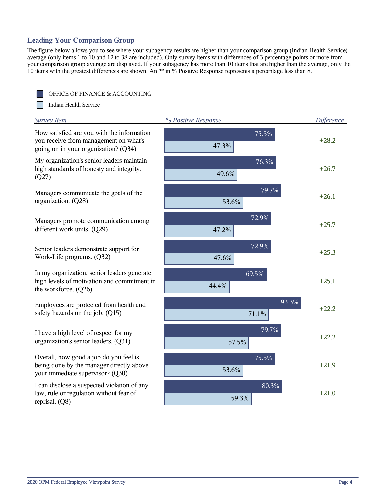## **Leading Your Comparison Group**

The figure below allows you to see where your subagency results are higher than your comparison group (Indian Health Service) average (only items 1 to 10 and 12 to 38 are included). Only survey items with differences of 3 percentage points or more from your comparison group average are displayed. If your subagency has more than 10 items that are higher than the average, only the 10 items with the greatest differences are shown. An '\*' in % Positive Response represents a percentage less than 8.

OFFICE OF FINANCE & ACCOUNTING

Indian Health Service

Г

| <b>Survey Item</b>                                                                                                          | % Positive Response | <b>Difference</b> |
|-----------------------------------------------------------------------------------------------------------------------------|---------------------|-------------------|
| How satisfied are you with the information<br>you receive from management on what's<br>going on in your organization? (Q34) | 75.5%<br>47.3%      | $+28.2$           |
| My organization's senior leaders maintain<br>high standards of honesty and integrity.<br>(Q27)                              | 76.3%<br>49.6%      | $+26.7$           |
| Managers communicate the goals of the<br>organization. (Q28)                                                                | 79.7%<br>53.6%      | $+26.1$           |
| Managers promote communication among<br>different work units. (Q29)                                                         | 72.9%<br>47.2%      | $+25.7$           |
| Senior leaders demonstrate support for<br>Work-Life programs. (Q32)                                                         | 72.9%<br>47.6%      | $+25.3$           |
| In my organization, senior leaders generate<br>high levels of motivation and commitment in<br>the workforce. (Q26)          | 69.5%<br>44.4%      | $+25.1$           |
| Employees are protected from health and<br>safety hazards on the job. (Q15)                                                 | 93.3%<br>71.1%      | $+22.2$           |
| I have a high level of respect for my<br>organization's senior leaders. (Q31)                                               | 79.7%<br>57.5%      | $+22.2$           |
| Overall, how good a job do you feel is<br>being done by the manager directly above<br>your immediate supervisor? (Q30)      | 75.5%<br>53.6%      | $+21.9$           |
| I can disclose a suspected violation of any<br>law, rule or regulation without fear of<br>reprisal. (Q8)                    | 80.3%<br>59.3%      | $+21.0$           |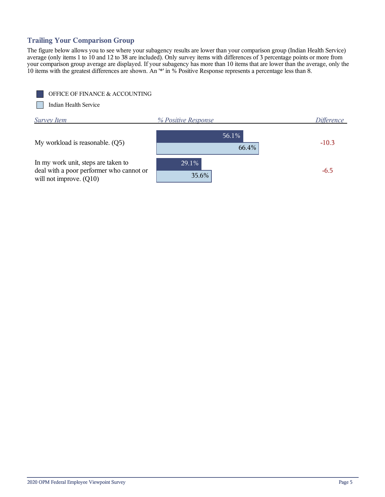## **Trailing Your Comparison Group**

The figure below allows you to see where your subagency results are lower than your comparison group (Indian Health Service) average (only items 1 to 10 and 12 to 38 are included). Only survey items with differences of 3 percentage points or more from your comparison group average are displayed. If your subagency has more than 10 items that are lower than the average, only the 10 items with the greatest differences are shown. An '\*' in % Positive Response represents a percentage less than 8.



Indian Health Service

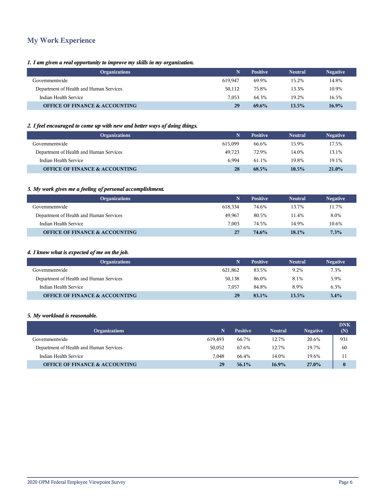## **My Work Experience**

#### *1. I am given a real opportunity to improve my skills in my organization.*

| <b>Organizations</b>                      |         | <b>Positive</b> | <b>Neutral</b> | <b>Negative</b> |
|-------------------------------------------|---------|-----------------|----------------|-----------------|
| Governmentwide                            | 619.947 | 69.9%           | 15.2%          | 14.8%           |
| Department of Health and Human Services   | 50,112  | 75.8%           | 13.3%          | 10.9%           |
| Indian Health Service                     | 7.053   | 64.3%           | 19.2%          | 16.5%           |
| <b>OFFICE OF FINANCE &amp; ACCOUNTING</b> | 29      | 69.6%           | 13.5%          | $16.9\%$        |

#### *2. I feel encouraged to come up with new and better ways of doing things.*

| <b>Organizations</b>                      | N       | <b>Positive</b> | <b>Neutral</b> | <b>Negative</b> |
|-------------------------------------------|---------|-----------------|----------------|-----------------|
| Governmentwide                            | 615.099 | 66.6%           | 15.9%          | 17.5%           |
| Department of Health and Human Services   | 49.723  | 72.9%           | 14.0%          | 13.1%           |
| Indian Health Service                     | 6.994   | 61.1%           | 19.8%          | 19.1%           |
| <b>OFFICE OF FINANCE &amp; ACCOUNTING</b> | 28      | 68.5%           | $10.5\%$       | 21.0%           |

#### *3. My work gives me a feeling of personal accomplishment.*

| <b>Organizations</b>                      | N.      | <b>Positive</b> | <b>Neutral</b> | <b>Negative</b> |
|-------------------------------------------|---------|-----------------|----------------|-----------------|
| Governmentwide                            | 618.334 | 74.6%           | 13.7%          | 11.7%           |
| Department of Health and Human Services   | 49.967  | 80.5%           | 11.4%          | 8.0%            |
| Indian Health Service                     | 7.003   | 74.5%           | 14.9%          | 10.6%           |
| <b>OFFICE OF FINANCE &amp; ACCOUNTING</b> | 27      | 74.6%           | $18.1\%$       | 7.3%            |

#### *4. I know what is expected of me on the job.*

| <b>Organizations</b>                      | N       | <b>Positive</b> | <b>Neutral</b> | <b>Negative</b> |
|-------------------------------------------|---------|-----------------|----------------|-----------------|
| Governmentwide                            | 621.862 | 83.5%           | 9.2%           | 7.3%            |
| Department of Health and Human Services   | 50.138  | 86.0%           | 8.1%           | 5.9%            |
| Indian Health Service                     | 7.057   | 84.8%           | 8.9%           | 6.3%            |
| <b>OFFICE OF FINANCE &amp; ACCOUNTING</b> | 29      | 83.1%           | 13.5%          | 3.4%            |

#### *5. My workload is reasonable.*

| <b>Organizations</b>                      | N       | <b>Positive</b> | <b>Neutral</b> | <b>Negative</b> | <b>DNK</b><br>(N) |
|-------------------------------------------|---------|-----------------|----------------|-----------------|-------------------|
| Governmentwide                            | 619.493 | 66.7%           | 12.7%          | 20.6%           | 931               |
| Department of Health and Human Services   | 50.052  | 67.6%           | 12.7%          | 19.7%           | 60                |
| Indian Health Service                     | 7.048   | 66.4%           | 14.0%          | 19.6%           | 11                |
| <b>OFFICE OF FINANCE &amp; ACCOUNTING</b> | 29      | 56.1%           | $16.9\%$       | $27.0\%$        | $\bf{0}$          |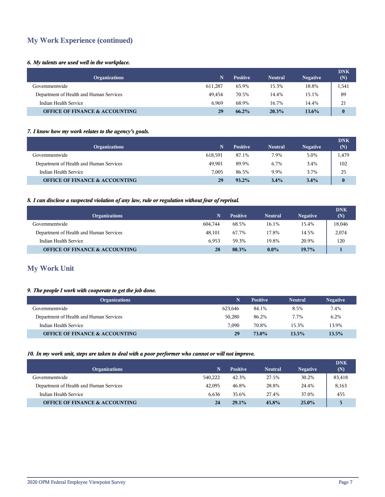## **My Work Experience (continued)**

#### *6. My talents are used well in the workplace.*

| <b>Organizations</b>                      | N       | <b>Positive</b> | <b>Neutral</b> | <b>Negative</b> | <b>DNK</b><br>(N) |
|-------------------------------------------|---------|-----------------|----------------|-----------------|-------------------|
| Governmentwide                            | 611.287 | 65.9%           | 15.3%          | 18.8%           | 1,541             |
| Department of Health and Human Services   | 49.454  | 70.5%           | 14.4%          | 15.1%           | 89                |
| Indian Health Service                     | 6.969   | 68.9%           | 16.7%          | 14.4%           | 21                |
| <b>OFFICE OF FINANCE &amp; ACCOUNTING</b> | 29      | $66.2\%$        | 20.3%          | $13.6\%$        | $\bf{0}$          |

#### *7. I know how my work relates to the agency's goals.*

| <b>Organizations</b>                      | N       | <b>Positive</b> | <b>Neutral</b> | <b>Negative</b> | <b>DNK</b><br>(N) |
|-------------------------------------------|---------|-----------------|----------------|-----------------|-------------------|
| Governmentwide                            | 618.591 | 87.1%           | 7.9%           | 5.0%            | 1,479             |
| Department of Health and Human Services   | 49.901  | 89.9%           | 6.7%           | 3.4%            | 102               |
| Indian Health Service                     | 7.005   | 86.5%           | 9.9%           | 3.7%            | 25                |
| <b>OFFICE OF FINANCE &amp; ACCOUNTING</b> | 29      | $93.2\%$        | 3.4%           | 3.4%            | $\bf{0}$          |

#### *8. I can disclose a suspected violation of any law, rule or regulation without fear of reprisal.*

| <b>Organizations</b>                      | N       | <b>Positive</b> | <b>Neutral</b> | <b>Negative</b> | <b>DNK</b><br>(N) |
|-------------------------------------------|---------|-----------------|----------------|-----------------|-------------------|
| Governmentwide                            | 604.744 | 68.5%           | 16.1%          | 15.4%           | 18,046            |
| Department of Health and Human Services   | 48.101  | 67.7%           | 17.8%          | 14.5%           | 2,074             |
| Indian Health Service                     | 6.953   | 59.3%           | 19.8%          | 20.9%           | 120               |
| <b>OFFICE OF FINANCE &amp; ACCOUNTING</b> | 28      | 80.3%           | $0.0\%$        | 19.7%           |                   |

## **My Work Unit**

#### *9. The people I work with cooperate to get the job done.*

| <b>Organizations</b>                      | N.      | <b>Positive</b> | <b>Neutral</b> | <b>Negative</b> |
|-------------------------------------------|---------|-----------------|----------------|-----------------|
| Governmentwide                            | 623.646 | 84.1%           | 8.5%           | 7.4%            |
| Department of Health and Human Services   | 50,280  | 86.2%           | 7.7%           | 6.2%            |
| Indian Health Service                     | 7.090   | 70.8%           | 15.3%          | 13.9%           |
| <b>OFFICE OF FINANCE &amp; ACCOUNTING</b> | 29      | 73.0%           | 13.5%          | 13.5%           |

#### *10. In my work unit, steps are taken to deal with a poor performer who cannot or will not improve.*

| <b>Organizations</b>                      | N       | <b>Positive</b> | <b>Neutral</b> | <b>Negative</b> | <b>DNK</b><br>(N) |
|-------------------------------------------|---------|-----------------|----------------|-----------------|-------------------|
| Governmentwide                            | 540,222 | 42.3%           | 27.5%          | 30.2%           | 83,418            |
| Department of Health and Human Services   | 42,095  | 46.8%           | 28.8%          | 24.4%           | 8,163             |
| Indian Health Service                     | 6.636   | 35.6%           | 27.4%          | 37.0%           | 455               |
| <b>OFFICE OF FINANCE &amp; ACCOUNTING</b> | 24      | $29.1\%$        | 45.8%          | $25.0\%$        | 5.                |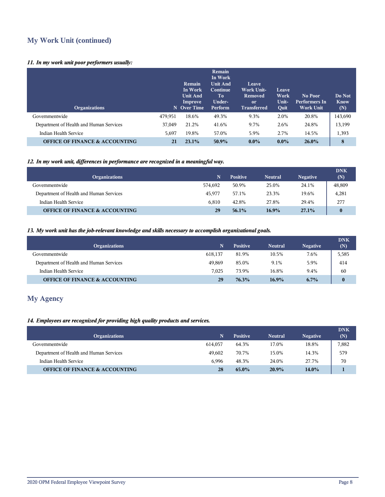## **My Work Unit (continued)**

#### *11. In my work unit poor performers usually:*

| <b>Organizations</b>                      |         | Remain<br>In Work<br><b>Unit And</b><br>Improve<br>N Over Time | <b>Remain</b><br>In Work<br><b>Unit And</b><br>Continue<br>To<br>Under-<br>Perform | Leave<br><b>Work Unit-</b><br>Removed<br><sub>or</sub><br><b>Transferred</b> | Leave<br>Work<br>Unit-<br>Quit | No Poor<br><b>Performers In</b><br><b>Work Unit</b> | Do Not<br><b>Know</b><br>(N) |
|-------------------------------------------|---------|----------------------------------------------------------------|------------------------------------------------------------------------------------|------------------------------------------------------------------------------|--------------------------------|-----------------------------------------------------|------------------------------|
| Governmentwide                            | 479,951 | 18.6%                                                          | 49.3%                                                                              | 9.3%                                                                         | 2.0%                           | 20.8%                                               | 143,690                      |
| Department of Health and Human Services   | 37,049  | 21.2%                                                          | 41.6%                                                                              | 9.7%                                                                         | 2.6%                           | 24.8%                                               | 13,199                       |
| Indian Health Service                     | 5,697   | 19.8%                                                          | 57.0%                                                                              | 5.9%                                                                         | 2.7%                           | 14.5%                                               | 1,393                        |
| <b>OFFICE OF FINANCE &amp; ACCOUNTING</b> | 21      | 23.1%                                                          | 50.9%                                                                              | $0.0\%$                                                                      | $0.0\%$                        | $26.0\%$                                            | 8                            |

#### *12. In my work unit, differences in performance are recognized in a meaningful way.*

| <b>Organizations</b>                      | N.      | <b>Positive</b> | <b>Neutral</b> | <b>Negative</b> | <b>DNK</b><br>(N) |
|-------------------------------------------|---------|-----------------|----------------|-----------------|-------------------|
| Governmentwide                            | 574.692 | 50.9%           | 25.0%          | 24.1%           | 48,809            |
| Department of Health and Human Services   | 45.977  | 57.1%           | 23.3%          | 19.6%           | 4,281             |
| Indian Health Service                     | 6.810   | 42.8%           | 27.8%          | 29.4%           | 277               |
| <b>OFFICE OF FINANCE &amp; ACCOUNTING</b> | 29      | 56.1%           | 16.9%          | 27.1%           | $\bf{0}$          |

#### *13. My work unit has the job-relevant knowledge and skills necessary to accomplish organizational goals.*

| <b>Organizations</b>                      | N       | <b>Positive</b> | <b>Neutral</b> | <b>Negative</b> | <b>DNK</b><br>(N) |
|-------------------------------------------|---------|-----------------|----------------|-----------------|-------------------|
| Governmentwide                            | 618.137 | 81.9%           | 10.5%          | 7.6%            | 5,585             |
| Department of Health and Human Services   | 49.869  | 85.0%           | 9.1%           | 5.9%            | 414               |
| Indian Health Service                     | 7.025   | 73.9%           | 16.8%          | 9.4%            | 60                |
| <b>OFFICE OF FINANCE &amp; ACCOUNTING</b> | 29      | 76.3%           | $16.9\%$       | $6.7\%$         | $\bf{0}$          |

## **My Agency**

#### *14. Employees are recognized for providing high quality products and services.*

| <b>Organizations</b>                      | N       | <b>Positive</b> | <b>Neutral</b> | <b>Negative</b> | <b>DNK</b><br>(N) |
|-------------------------------------------|---------|-----------------|----------------|-----------------|-------------------|
| Governmentwide                            | 614.057 | 64.3%           | 17.0%          | 18.8%           | 7,882             |
| Department of Health and Human Services   | 49.602  | 70.7%           | 15.0%          | 14.3%           | 579               |
| Indian Health Service                     | 6.996   | 48.3%           | 24.0%          | 27.7%           | 70                |
| <b>OFFICE OF FINANCE &amp; ACCOUNTING</b> | 28      | 65.0%           | 20.9%          | 14.0%           |                   |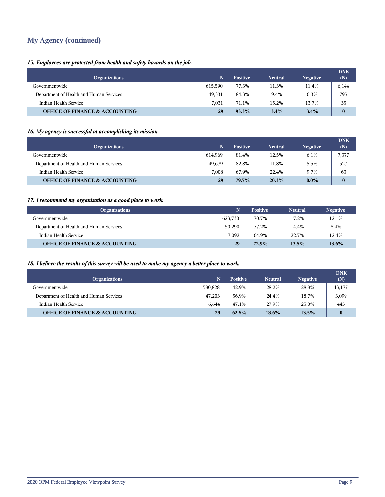## **My Agency (continued)**

#### *15. Employees are protected from health and safety hazards on the job.*

| <b>Organizations</b>                      | N       | <b>Positive</b> | <b>Neutral</b> | <b>Negative</b> | <b>DNK</b><br>(N) |
|-------------------------------------------|---------|-----------------|----------------|-----------------|-------------------|
| Governmentwide                            | 615.590 | 77.3%           | 11.3%          | 11.4%           | 6,144             |
| Department of Health and Human Services   | 49.331  | 84.3%           | 9.4%           | 6.3%            | 795               |
| Indian Health Service                     | 7.031   | 71.1%           | 15.2%          | 13.7%           | 35                |
| <b>OFFICE OF FINANCE &amp; ACCOUNTING</b> | 29      | 93.3%           | 3.4%           | $3.4\%$         | $\bf{0}$          |

#### *16. My agency is successful at accomplishing its mission.*

| <b>Organizations</b>                      | N       | <b>Positive</b> | <b>Neutral</b> | <b>Negative</b> | <b>DNK</b><br>(N) |
|-------------------------------------------|---------|-----------------|----------------|-----------------|-------------------|
| Governmentwide                            | 614.969 | 81.4%           | 12.5%          | 6.1%            | 7,377             |
| Department of Health and Human Services   | 49.679  | 82.8%           | 11.8%          | 5.5%            | 527               |
| Indian Health Service                     | 7.008   | 67.9%           | 22.4%          | 9.7%            | 63                |
| <b>OFFICE OF FINANCE &amp; ACCOUNTING</b> | 29      | 79.7%           | 20.3%          | $0.0\%$         | $\bf{0}$          |

#### *17. I recommend my organization as a good place to work.*

| <b>Organizations</b>                      | N       | <b>Positive</b> | <b>Neutral</b> | <b>Negative</b> |
|-------------------------------------------|---------|-----------------|----------------|-----------------|
| Governmentwide                            | 623.730 | 70.7%           | 17.2%          | 12.1%           |
| Department of Health and Human Services   | 50.290  | 77.2%           | 14.4%          | 8.4%            |
| Indian Health Service                     | 7.092   | 64.9%           | 22.7%          | 12.4%           |
| <b>OFFICE OF FINANCE &amp; ACCOUNTING</b> | 29      | 72.9%           | 13.5%          | 13.6%           |

#### *18. I believe the results of this survey will be used to make my agency a better place to work.*

| <b>Organizations</b>                      | N       | <b>Positive</b> | <b>Neutral</b> | <b>Negative</b> | <b>DNK</b><br>(N) |
|-------------------------------------------|---------|-----------------|----------------|-----------------|-------------------|
| Governmentwide                            | 580,828 | 42.9%           | 28.2%          | 28.8%           | 43,177            |
| Department of Health and Human Services   | 47.203  | 56.9%           | 24.4%          | 18.7%           | 3,099             |
| Indian Health Service                     | 6.644   | 47.1%           | 27.9%          | 25.0%           | 445               |
| <b>OFFICE OF FINANCE &amp; ACCOUNTING</b> | 29      | 62.8%           | $23.6\%$       | 13.5%           | $\bf{0}$          |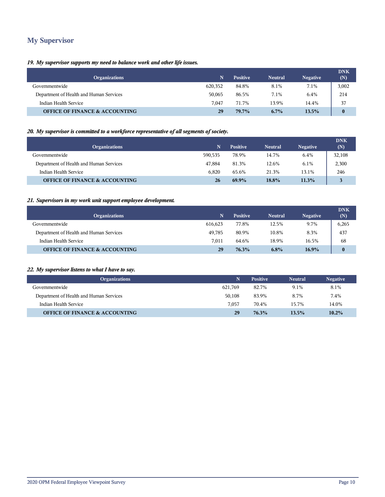## **My Supervisor**

#### *19. My supervisor supports my need to balance work and other life issues.*

| <b>Organizations</b>                      | N       | <b>Positive</b> | <b>Neutral</b> | <b>Negative</b> | <b>DNK</b><br>(N) |
|-------------------------------------------|---------|-----------------|----------------|-----------------|-------------------|
| Governmentwide                            | 620,352 | 84.8%           | 8.1%           | 7.1%            | 3,002             |
| Department of Health and Human Services   | 50,065  | 86.5%           | 7.1%           | 6.4%            | 214               |
| Indian Health Service                     | 7.047   | 71.7%           | 13.9%          | 14.4%           | 37                |
| <b>OFFICE OF FINANCE &amp; ACCOUNTING</b> | 29      | 79.7%           | $6.7\%$        | 13.5%           | $\bf{0}$          |

#### *20. My supervisor is committed to a workforce representative of all segments of society.*

| <b>Organizations</b>                      | N       | <b>Positive</b> | <b>Neutral</b> | <b>Negative</b> | <b>DNK</b><br>(N) |
|-------------------------------------------|---------|-----------------|----------------|-----------------|-------------------|
| Governmentwide                            | 590.535 | 78.9%           | 14.7%          | 6.4%            | 32,108            |
| Department of Health and Human Services   | 47.884  | 81.3%           | 12.6%          | 6.1%            | 2,300             |
| Indian Health Service                     | 6.820   | 65.6%           | 21.3%          | 13.1%           | 246               |
| <b>OFFICE OF FINANCE &amp; ACCOUNTING</b> | 26      | 69.9%           | 18.8%          | 11.3%           |                   |

#### *21. Supervisors in my work unit support employee development.*

| <b>Organizations</b>                      | N       | <b>Positive</b> | <b>Neutral</b> | <b>Negative</b> | <b>DNK</b><br>(N) |
|-------------------------------------------|---------|-----------------|----------------|-----------------|-------------------|
| Governmentwide                            | 616.623 | 77.8%           | 12.5%          | 9.7%            | 6,265             |
| Department of Health and Human Services   | 49.785  | 80.9%           | 10.8%          | 8.3%            | 437               |
| Indian Health Service                     | 7.011   | 64.6%           | 18.9%          | 16.5%           | 68                |
| <b>OFFICE OF FINANCE &amp; ACCOUNTING</b> | 29      | 76.3%           | 6.8%           | $16.9\%$        | $\bf{0}$          |

#### *22. My supervisor listens to what I have to say.*

| <b>Organizations</b>                      |         | <b>Positive</b> | <b>Neutral</b> | <b>Negative</b> |
|-------------------------------------------|---------|-----------------|----------------|-----------------|
| Governmentwide                            | 621.769 | 82.7%           | 9.1%           | 8.1%            |
| Department of Health and Human Services   | 50,108  | 83.9%           | 8.7%           | 7.4%            |
| Indian Health Service                     | 7.057   | 70.4%           | 15.7%          | 14.0%           |
| <b>OFFICE OF FINANCE &amp; ACCOUNTING</b> | 29      | 76.3%           | 13.5%          | 10.2%           |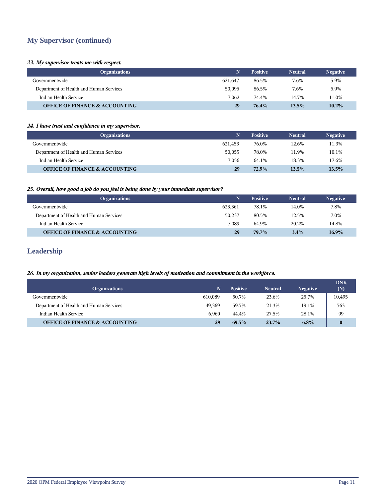## **My Supervisor (continued)**

#### *23. My supervisor treats me with respect.*

| <b>Organizations</b>                      | N.      | <b>Positive</b> | <b>Neutral</b> | <b>Negative</b> |
|-------------------------------------------|---------|-----------------|----------------|-----------------|
| Governmentwide                            | 621.647 | 86.5%           | 7.6%           | 5.9%            |
| Department of Health and Human Services   | 50,095  | 86.5%           | 7.6%           | 5.9%            |
| Indian Health Service                     | 7.062   | 74.4%           | 14.7%          | 11.0%           |
| <b>OFFICE OF FINANCE &amp; ACCOUNTING</b> | 29      | 76.4%           | 13.5%          | $10.2\%$        |

#### *24. I have trust and confidence in my supervisor.*

| <b>Organizations</b>                      | N       | <b>Positive</b> | <b>Neutral</b> | <b>Negative</b> |
|-------------------------------------------|---------|-----------------|----------------|-----------------|
| Governmentwide                            | 621.453 | 76.0%           | 12.6%          | 11.3%           |
| Department of Health and Human Services   | 50,055  | 78.0%           | 11.9%          | 10.1%           |
| Indian Health Service                     | 7.056   | 64.1%           | 18.3%          | 17.6%           |
| <b>OFFICE OF FINANCE &amp; ACCOUNTING</b> | 29      | 72.9%           | 13.5%          | 13.5%           |

#### *25. Overall, how good a job do you feel is being done by your immediate supervisor?*

| <b>Organizations</b>                      | N.      | <b>Positive</b> | <b>Neutral</b> | <b>Negative</b> |
|-------------------------------------------|---------|-----------------|----------------|-----------------|
| Governmentwide                            | 623.361 | 78.1%           | 14.0%          | 7.8%            |
| Department of Health and Human Services   | 50.237  | 80.5%           | 12.5%          | 7.0%            |
| Indian Health Service                     | 7.089   | 64.9%           | 20.2%          | 14.8%           |
| <b>OFFICE OF FINANCE &amp; ACCOUNTING</b> | 29      | 79.7%           | 3.4%           | 16.9%           |

## **Leadership**

#### *26. In my organization, senior leaders generate high levels of motivation and commitment in the workforce.*

| <b>Organizations</b>                      | N       | <b>Positive</b> | <b>Neutral</b> | <b>Negative</b> | <b>DNK</b><br>(N) |
|-------------------------------------------|---------|-----------------|----------------|-----------------|-------------------|
| Governmentwide                            | 610.089 | 50.7%           | 23.6%          | 25.7%           | 10,495            |
| Department of Health and Human Services   | 49.369  | 59.7%           | 21.3%          | 19.1%           | 763               |
| Indian Health Service                     | 6.960   | 44.4%           | 27.5%          | 28.1%           | 99                |
| <b>OFFICE OF FINANCE &amp; ACCOUNTING</b> | 29      | 69.5%           | 23.7%          | 6.8%            | $\bf{0}$          |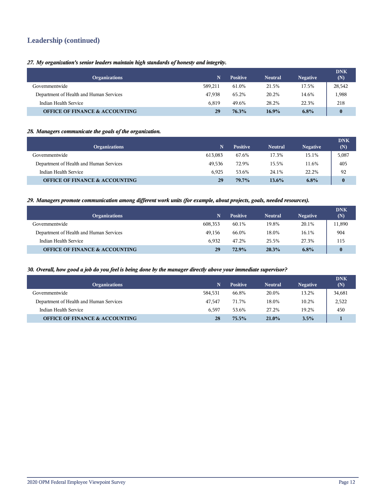## **Leadership (continued)**

*27. My organization's senior leaders maintain high standards of honesty and integrity.*

| <b>Organizations</b>                      | N       | <b>Positive</b> | <b>Neutral</b> | <b>Negative</b> | <b>DNK</b><br>(N) |
|-------------------------------------------|---------|-----------------|----------------|-----------------|-------------------|
| Governmentwide                            | 589.211 | 61.0%           | 21.5%          | 17.5%           | 28,542            |
| Department of Health and Human Services   | 47.938  | 65.2%           | 20.2%          | 14.6%           | 1,988             |
| Indian Health Service                     | 6.819   | 49.6%           | 28.2%          | 22.3%           | 218               |
| <b>OFFICE OF FINANCE &amp; ACCOUNTING</b> | 29      | 76.3%           | $16.9\%$       | 6.8%            | $\bf{0}$          |

#### *28. Managers communicate the goals of the organization.*

| <b>Organizations</b>                      | N       | <b>Positive</b> | <b>Neutral</b> | <b>Negative</b> | <b>DNK</b><br>(N) |
|-------------------------------------------|---------|-----------------|----------------|-----------------|-------------------|
| Governmentwide                            | 613.083 | 67.6%           | 17.3%          | 15.1%           | 5,087             |
| Department of Health and Human Services   | 49.536  | 72.9%           | 15.5%          | 11.6%           | 405               |
| Indian Health Service                     | 6.925   | 53.6%           | 24.1%          | 22.2%           | 92                |
| <b>OFFICE OF FINANCE &amp; ACCOUNTING</b> | 29      | 79.7%           | $13.6\%$       | 6.8%            | $\bf{0}$          |

#### *29. Managers promote communication among different work units (for example, about projects, goals, needed resources).*

| <b>Organizations</b>                      | N       | <b>Positive</b> | <b>Neutral</b> | <b>Negative</b> | <b>DNK</b><br>(N) |
|-------------------------------------------|---------|-----------------|----------------|-----------------|-------------------|
| Governmentwide                            | 608,353 | 60.1%           | 19.8%          | 20.1%           | 11,890            |
| Department of Health and Human Services   | 49.156  | 66.0%           | 18.0%          | 16.1%           | 904               |
| Indian Health Service                     | 6.932   | 47.2%           | 25.5%          | 27.3%           | 115               |
| <b>OFFICE OF FINANCE &amp; ACCOUNTING</b> | 29      | 72.9%           | 20.3%          | $6.8\%$         | $\mathbf{0}$      |

#### *30. Overall, how good a job do you feel is being done by the manager directly above your immediate supervisor?*

| <b>Organizations</b>                      | N       | <b>Positive</b> | <b>Neutral</b> | <b>Negative</b> | <b>DNK</b><br>(N) |
|-------------------------------------------|---------|-----------------|----------------|-----------------|-------------------|
| Governmentwide                            | 584,531 | 66.8%           | 20.0%          | 13.2%           | 34,681            |
| Department of Health and Human Services   | 47.547  | 71.7%           | 18.0%          | 10.2%           | 2,522             |
| Indian Health Service                     | 6.597   | 53.6%           | 27.2%          | 19.2%           | 450               |
| <b>OFFICE OF FINANCE &amp; ACCOUNTING</b> | 28      | 75.5%           | $21.0\%$       | 3.5%            |                   |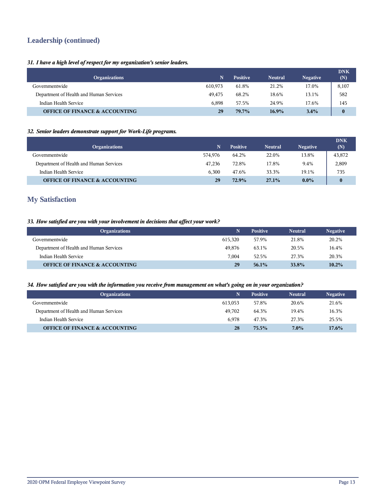## **Leadership (continued)**

#### *31. I have a high level of respect for my organization's senior leaders.*

| <b>Organizations</b>                      | N       | <b>Positive</b> | <b>Neutral</b> | <b>Negative</b> | <b>DNK</b><br>(N) |
|-------------------------------------------|---------|-----------------|----------------|-----------------|-------------------|
| Governmentwide                            | 610.973 | 61.8%           | 21.2%          | 17.0%           | 8,107             |
| Department of Health and Human Services   | 49.475  | 68.2%           | 18.6%          | 13.1%           | 582               |
| Indian Health Service                     | 6.898   | 57.5%           | 24.9%          | 17.6%           | 145               |
| <b>OFFICE OF FINANCE &amp; ACCOUNTING</b> | 29      | 79.7%           | $16.9\%$       | $3.4\%$         | $\bf{0}$          |

#### *32. Senior leaders demonstrate support for Work-Life programs.*

| <b>Organizations</b>                      | N       | <b>Positive</b> | <b>Neutral</b> | <b>Negative</b> | <b>DNK</b><br>(N) |
|-------------------------------------------|---------|-----------------|----------------|-----------------|-------------------|
| Governmentwide                            | 574.976 | 64.2%           | 22.0%          | 13.8%           | 43,872            |
| Department of Health and Human Services   | 47.236  | 72.8%           | 17.8%          | 9.4%            | 2,809             |
| Indian Health Service                     | 6.300   | 47.6%           | 33.3%          | 19.1%           | 735               |
| <b>OFFICE OF FINANCE &amp; ACCOUNTING</b> | 29      | 72.9%           | 27.1%          | $0.0\%$         | $\bf{0}$          |

## **My Satisfaction**

#### *33. How satisfied are you with your involvement in decisions that affect your work?*

| <b>Organizations</b>                      |         | <b>Positive</b> | <b>Neutral</b> | <b>Negative</b> |
|-------------------------------------------|---------|-----------------|----------------|-----------------|
| Governmentwide                            | 615.320 | 57.9%           | 21.8%          | 20.2%           |
| Department of Health and Human Services   | 49.876  | 63.1%           | 20.5%          | 16.4%           |
| Indian Health Service                     | 7.004   | 52.5%           | 27.3%          | 20.3%           |
| <b>OFFICE OF FINANCE &amp; ACCOUNTING</b> | 29      | 56.1%           | 33.8%          | 10.2%           |

#### *34. How satisfied are you with the information you receive from management on what's going on in your organization?*

| <b>Organizations</b>                      | N.      | <b>Positive</b> | <b>Neutral</b> | <b>Negative</b> |
|-------------------------------------------|---------|-----------------|----------------|-----------------|
| Governmentwide                            | 613.053 | 57.8%           | 20.6%          | 21.6%           |
| Department of Health and Human Services   | 49.702  | 64.3%           | 19.4%          | 16.3%           |
| Indian Health Service                     | 6.978   | 47.3%           | 27.3%          | 25.5%           |
| <b>OFFICE OF FINANCE &amp; ACCOUNTING</b> | 28      | 75.5%           | $7.0\%$        | $17.6\%$        |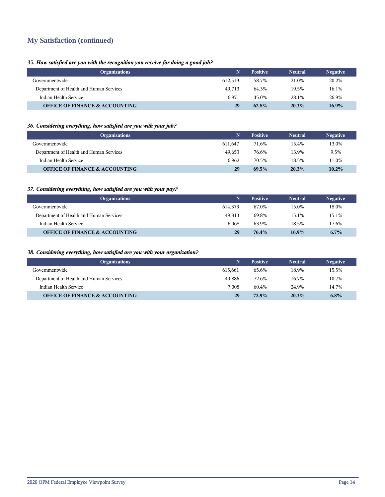## **My Satisfaction (continued)**

#### *35. How satisfied are you with the recognition you receive for doing a good job?*

| <b>Organizations</b>                      |         | <b>Positive</b> | <b>Neutral</b> | <b>Negative</b> |
|-------------------------------------------|---------|-----------------|----------------|-----------------|
| Governmentwide                            | 612.519 | 58.7%           | 21.0%          | 20.2%           |
| Department of Health and Human Services   | 49.713  | 64.3%           | 19.5%          | 16.1%           |
| Indian Health Service                     | 6.971   | 45.0%           | 28.1%          | 26.9%           |
| <b>OFFICE OF FINANCE &amp; ACCOUNTING</b> | 29      | 62.8%           | 20.3%          | $16.9\%$        |

#### *36. Considering everything, how satisfied are you with your job?*

| <b>Organizations</b>                      | 'N.     | <b>Positive</b> | <b>Neutral</b> | <b>Negative</b> |
|-------------------------------------------|---------|-----------------|----------------|-----------------|
| Governmentwide                            | 611.647 | 71.6%           | 15.4%          | 13.0%           |
| Department of Health and Human Services   | 49.653  | 76.6%           | 13.9%          | 9.5%            |
| Indian Health Service                     | 6.962   | 70.5%           | 18.5%          | 11.0%           |
| <b>OFFICE OF FINANCE &amp; ACCOUNTING</b> | 29      | 69.5%           | 20.3%          | 10.2%           |

#### *37. Considering everything, how satisfied are you with your pay?*

| <b>Organizations</b>                      | N       | <b>Positive</b> | <b>Neutral</b> | <b>Negative</b> |
|-------------------------------------------|---------|-----------------|----------------|-----------------|
| Governmentwide                            | 614.373 | 67.0%           | 15.0%          | 18.0%           |
| Department of Health and Human Services   | 49.813  | 69.8%           | 15.1%          | 15.1%           |
| Indian Health Service                     | 6.968   | 63.9%           | 18.5%          | 17.6%           |
| <b>OFFICE OF FINANCE &amp; ACCOUNTING</b> | 29      | 76.4%           | $16.9\%$       | $6.7\%$         |

#### *38. Considering everything, how satisfied are you with your organization?*

| <b>Organizations</b>                      | N       | <b>Positive</b> | <b>Neutral</b> | <b>Negative</b> |
|-------------------------------------------|---------|-----------------|----------------|-----------------|
| Governmentwide                            | 615.661 | 65.6%           | 18.9%          | 15.5%           |
| Department of Health and Human Services   | 49.886  | 72.6%           | 16.7%          | 10.7%           |
| Indian Health Service                     | 7.008   | 60.4%           | 24.9%          | 14.7%           |
| <b>OFFICE OF FINANCE &amp; ACCOUNTING</b> | 29      | 72.9%           | 20.3%          | 6.8%            |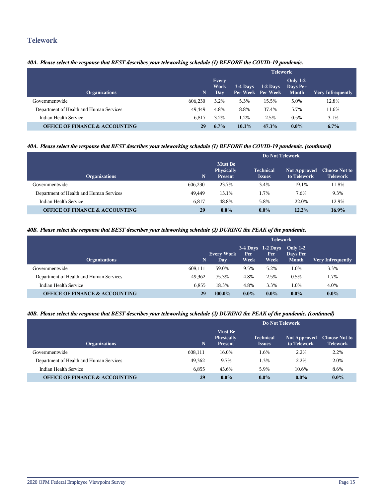### **Telework**

#### *40A. Please select the response that BEST describes your teleworking schedule (1) BEFORE the COVID-19 pandemic.*

|                                           |             | <b>Telework</b>             |          |                                 |                                             |                          |  |  |
|-------------------------------------------|-------------|-----------------------------|----------|---------------------------------|---------------------------------------------|--------------------------|--|--|
| <b>Organizations</b>                      | $\mathbf N$ | <b>Every</b><br>Work<br>Day | 3-4 Days | $1-2$ Days<br>Per Week Per Week | <b>Only 1-2</b><br>Days Per<br><b>Month</b> | <b>Very Infrequently</b> |  |  |
| Governmentwide                            | 606,230     | 3.2%                        | 5.3%     | 15.5%                           | 5.0%                                        | 12.8%                    |  |  |
| Department of Health and Human Services   | 49.449      | 4.8%                        | 8.8%     | 37.4%                           | 5.7%                                        | 11.6%                    |  |  |
| Indian Health Service                     | 6.817       | 3.2%                        | 1.2%     | 2.5%                            | $0.5\%$                                     | 3.1%                     |  |  |
| <b>OFFICE OF FINANCE &amp; ACCOUNTING</b> | 29          | $6.7\%$                     | $10.1\%$ | 47.3%                           | $0.0\%$                                     | $6.7\%$                  |  |  |

#### *40A. Please select the response that BEST describes your teleworking schedule (1) BEFORE the COVID-19 pandemic. (continued)*

|                                           |         | Do Not Telework                                |                                   |                                    |                                         |  |  |
|-------------------------------------------|---------|------------------------------------------------|-----------------------------------|------------------------------------|-----------------------------------------|--|--|
| <b>Organizations</b>                      | N       | <b>Must Be</b><br>Physically<br><b>Present</b> | <b>Technical</b><br><b>Issues</b> | <b>Not Approved</b><br>to Telework | <b>Choose Not to</b><br><b>Telework</b> |  |  |
| Governmentwide                            | 606.230 | 23.7%                                          | 3.4%                              | 19.1%                              | 11.8%                                   |  |  |
| Department of Health and Human Services   | 49.449  | 13.1%                                          | 1.7%                              | 7.6%                               | 9.3%                                    |  |  |
| Indian Health Service                     | 6,817   | 48.8%                                          | 5.8%                              | 22.0%                              | 12.9%                                   |  |  |
| <b>OFFICE OF FINANCE &amp; ACCOUNTING</b> | 29      | $0.0\%$                                        | $0.0\%$                           | 12.2%                              | $16.9\%$                                |  |  |

#### *40B. Please select the response that BEST describes your teleworking schedule (2) DURING the PEAK of the pandemic.*

|                                           |             | <b>Telework</b>                 |             |                                     |                                        |                          |  |
|-------------------------------------------|-------------|---------------------------------|-------------|-------------------------------------|----------------------------------------|--------------------------|--|
| <b>Organizations</b>                      | $\mathbf N$ | <b>Every Work</b><br><b>Day</b> | Per<br>Week | $3-4$ Days 1-2 Days<br>Per.<br>Week | Only $1-2$<br>Days Per<br><b>Month</b> | <b>Very Infrequently</b> |  |
| 608.111<br>Governmentwide                 |             | 59.0%                           | 9.5%        | 5.2%                                | 1.0%                                   | 3.3%                     |  |
| Department of Health and Human Services   | 49.362      | 75.3%                           | 4.8%        | 2.5%                                | 0.5%                                   | 1.7%                     |  |
| Indian Health Service                     | 6.855       | 18.3%                           | 4.8%        | 3.3%                                | 1.0%                                   | 4.0%                     |  |
| <b>OFFICE OF FINANCE &amp; ACCOUNTING</b> | 29          | 100.0%                          | $0.0\%$     | $0.0\%$                             | $0.0\%$                                | $0.0\%$                  |  |

#### *40B. Please select the response that BEST describes your teleworking schedule (2) DURING the PEAK of the pandemic. (continued)*

|                                           |         | Do Not Telework                                |                                   |                                    |                                         |  |  |  |
|-------------------------------------------|---------|------------------------------------------------|-----------------------------------|------------------------------------|-----------------------------------------|--|--|--|
| <b>Organizations</b>                      | N       | <b>Must Be</b><br>Physically<br><b>Present</b> | <b>Technical</b><br><b>Issues</b> | <b>Not Approved</b><br>to Telework | <b>Choose Not to</b><br><b>Telework</b> |  |  |  |
| Governmentwide                            | 608,111 | 16.0%                                          | 1.6%                              | 2.2%                               | 2.2%                                    |  |  |  |
| Department of Health and Human Services   | 49.362  | 9.7%                                           | 1.3%                              | 2.2%                               | 2.0%                                    |  |  |  |
| Indian Health Service                     | 6.855   | 43.6%                                          | 5.9%                              | 10.6%                              | 8.6%                                    |  |  |  |
| <b>OFFICE OF FINANCE &amp; ACCOUNTING</b> | 29      | $0.0\%$                                        | $0.0\%$                           | $0.0\%$                            | $0.0\%$                                 |  |  |  |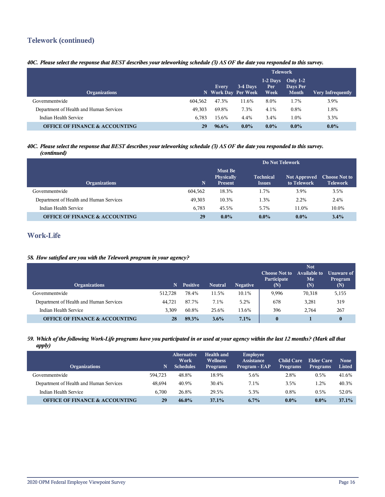## **Telework (continued)**

#### *40C. Please select the response that BEST describes your teleworking schedule (3) AS OF the date you responded to this survey.*

|                                           |         | <b>Telework</b>              |          |                           |                                        |                          |  |
|-------------------------------------------|---------|------------------------------|----------|---------------------------|----------------------------------------|--------------------------|--|
| <b>Organizations</b>                      |         | Every<br>N Work Day Per Week | 3-4 Days | $1-2$ Days<br>Per<br>Week | Only $1-2$<br>Days Per<br><b>Month</b> | <b>Very Infrequently</b> |  |
| Governmentwide                            | 604.562 | 47.3%                        | 11.6%    | 8.0%                      | 1.7%                                   | 3.9%                     |  |
| Department of Health and Human Services   | 49.303  | 69.8%                        | 7.3%     | 4.1%                      | 0.8%                                   | .8%                      |  |
| Indian Health Service                     | 6.783   | 15.6%                        | 4.4%     | 3.4%                      | 1.0%                                   | 3.3%                     |  |
| <b>OFFICE OF FINANCE &amp; ACCOUNTING</b> | 29      | $96.6\%$                     | $0.0\%$  | $0.0\%$                   | $0.0\%$                                | $0.0\%$                  |  |

#### *40C. Please select the response that BEST describes your teleworking schedule (3) AS OF the date you responded to this survey. (continued)*

|                                           |         | Do Not Telework                                |                                   |                                    |                                         |  |  |
|-------------------------------------------|---------|------------------------------------------------|-----------------------------------|------------------------------------|-----------------------------------------|--|--|
| <b>Organizations</b>                      | N       | <b>Must Be</b><br>Physically<br><b>Present</b> | <b>Technical</b><br><b>Issues</b> | <b>Not Approved</b><br>to Telework | <b>Choose Not to</b><br><b>Telework</b> |  |  |
| Governmentwide                            | 604.562 | 18.3%                                          | 1.7%                              | 3.9%                               | 3.5%                                    |  |  |
| Department of Health and Human Services   | 49.303  | 10.3%                                          | 1.3%                              | 2.2%                               | 2.4%                                    |  |  |
| Indian Health Service                     | 6.783   | 45.5%                                          | 5.7%                              | 11.0%                              | 10.0%                                   |  |  |
| <b>OFFICE OF FINANCE &amp; ACCOUNTING</b> | 29      | $0.0\%$                                        | $0.0\%$                           | $0.0\%$                            | 3.4%                                    |  |  |

## **Work-Life**

#### *58. How satisfied are you with the Telework program in your agency?*

| <b>Organizations</b>                      |         | <b>Positive</b> | <b>Neutral</b> | <b>Negative</b> | <b>Choose Not to</b><br>Participate<br>(N) | <b>Not</b><br><b>Available to</b><br>Me<br>(N) | Unaware of<br>Program<br>(N) |
|-------------------------------------------|---------|-----------------|----------------|-----------------|--------------------------------------------|------------------------------------------------|------------------------------|
| Governmentwide                            | 512.728 | 78.4%           | 11.5%          | 10.1%           | 9,996                                      | 70,318                                         | 5,155                        |
| Department of Health and Human Services   | 44.721  | 87.7%           | 7.1%           | 5.2%            | 678                                        | 3,281                                          | 319                          |
| Indian Health Service                     | 3.309   | 60.8%           | 25.6%          | 13.6%           | 396                                        | 2.764                                          | 267                          |
| <b>OFFICE OF FINANCE &amp; ACCOUNTING</b> | 28      | 89.3%           | $3.6\%$        | 7.1%            | $\bf{0}$                                   |                                                | $\bf{0}$                     |

#### *59. Which of the following Work-Life programs have you participated in or used at your agency within the last 12 months? (Mark all that apply)*

| <b>Organizations</b>                      | N       | <b>Alternative</b><br>Work<br><b>Schedules</b> | <b>Health and</b><br><b>Wellness</b><br><b>Programs</b> | Employee<br>Assistance<br>Program - EAP | <b>Child Care</b><br><b>Programs</b> | Elder Care<br><b>Programs</b> | <b>None</b><br>Listed |
|-------------------------------------------|---------|------------------------------------------------|---------------------------------------------------------|-----------------------------------------|--------------------------------------|-------------------------------|-----------------------|
| Governmentwide                            | 594.723 | 48.8%                                          | 18.9%                                                   | 5.6%                                    | 2.8%                                 | 0.5%                          | 41.6%                 |
| Department of Health and Human Services   | 48.694  | 40.9%                                          | 30.4%                                                   | 7.1%                                    | 3.5%                                 | 1.2%                          | 40.3%                 |
| Indian Health Service                     | 6.700   | 26.8%                                          | 29.5%                                                   | 5.3%                                    | 0.8%                                 | 0.5%                          | 52.0%                 |
| <b>OFFICE OF FINANCE &amp; ACCOUNTING</b> | 29      | $46.0\%$                                       | 37.1%                                                   | $6.7\%$                                 | $0.0\%$                              | $0.0\%$                       | 37.1%                 |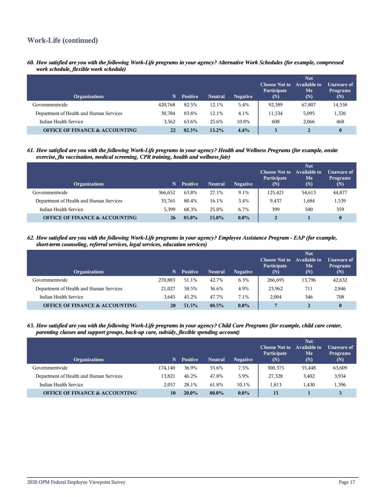## **Work-Life (continued)**

*60. How satisfied are you with the following Work-Life programs in your agency? Alternative Work Schedules (for example, compressed work schedule, flexible work schedule)*

| <b>Organizations</b>                      | N       | <b>Positive</b> | <b>Neutral</b> | <b>Negative</b> | <b>Choose Not to</b><br>Participate<br>(N) | <b>Not</b><br>Available to<br>Me<br>(N) | Unaware of<br><b>Programs</b><br>(N) |
|-------------------------------------------|---------|-----------------|----------------|-----------------|--------------------------------------------|-----------------------------------------|--------------------------------------|
| Governmentwide                            | 420.768 | 82.5%           | 12.1%          | 5.4%            | 92,389                                     | 67,807                                  | 14,558                               |
| Department of Health and Human Services   | 30.784  | 83.8%           | 12.1%          | 4.1%            | 11,534                                     | 5,095                                   | 1,326                                |
| Indian Health Service                     | 3.562   | 63.6%           | 25.6%          | 10.8%           | 608                                        | 2.066                                   | 468                                  |
| <b>OFFICE OF FINANCE &amp; ACCOUNTING</b> | 22      | 82.3%           | 13.2%          | 4.4%            |                                            | $\overline{2}$                          | $\bf{0}$                             |

*61. How satisfied are you with the following Work-Life programs in your agency? Health and Wellness Programs (for example, onsite exercise, flu vaccination, medical screening, CPR training, health and wellness fair)*

| <b>Organizations</b>                      | N       | <b>Positive</b> | <b>Neutral</b> | <b>Negative</b> | <b>Choose Not to</b><br>Participate<br>(N) | <b>Not</b><br><b>Available to</b><br>Me<br>(N) | <b>Unaware of</b><br><b>Programs</b><br>(N) |
|-------------------------------------------|---------|-----------------|----------------|-----------------|--------------------------------------------|------------------------------------------------|---------------------------------------------|
| Governmentwide                            | 366.652 | 63.8%           | 27.1%          | 9.1%            | 125.421                                    | 54,613                                         | 44,877                                      |
| Department of Health and Human Services   | 35,765  | 80.4%           | 16.1%          | 3.4%            | 9,437                                      | 1,684                                          | 1,539                                       |
| Indian Health Service                     | 5.399   | 68.3%           | 25.0%          | 6.7%            | 399                                        | 500                                            | 359                                         |
| <b>OFFICE OF FINANCE &amp; ACCOUNTING</b> | 26      | 85.0%           | $15.0\%$       | $0.0\%$         | $\overline{2}$                             |                                                | $\bf{0}$                                    |

*62. How satisfied are you with the following Work-Life programs in your agency? Employee Assistance Program - EAP (for example, short-term counseling, referral services, legal services, education services)*

| <b>Organizations</b>                      | N       | <b>Positive</b> | <b>Neutral</b> | <b>Negative</b> | <b>Choose Not to</b><br>Participate<br>$(\mathbf{N})$ | <b>Not</b><br><b>Available to</b><br>Me<br>(N) | Unaware of<br><b>Programs</b><br>(N) |
|-------------------------------------------|---------|-----------------|----------------|-----------------|-------------------------------------------------------|------------------------------------------------|--------------------------------------|
| Governmentwide                            | 270.883 | 51.1%           | 42.7%          | 6.3%            | 266,695                                               | 13,796                                         | 42,632                               |
| Department of Health and Human Services   | 21.027  | 58.5%           | 36.6%          | 4.9%            | 23,962                                                | 711                                            | 2,846                                |
| Indian Health Service                     | 3.645   | 45.2%           | 47.7%          | 7.1%            | 2,004                                                 | 346                                            | 708                                  |
| <b>OFFICE OF FINANCE &amp; ACCOUNTING</b> | 20      | 51.5%           | 48.5%          | $0.0\%$         | $\overline{ }$                                        | 2                                              | $\bf{0}$                             |

*63. How satisfied are you with the following Work-Life programs in your agency? Child Care Programs (for example, child care center, parenting classes and support groups, back-up care, subsidy, flexible spending account)*

| <b>Organizations</b>                      | N.      | <b>Positive</b> | <b>Neutral</b> | <b>Negative</b> | <b>Choose Not to</b><br>Participate<br>(N) | <b>Not</b><br><b>Available to</b><br>Me<br>(N) | Unaware of<br><b>Programs</b><br>(N) |
|-------------------------------------------|---------|-----------------|----------------|-----------------|--------------------------------------------|------------------------------------------------|--------------------------------------|
| Governmentwide                            | 174.140 | 36.9%           | 55.6%          | 7.5%            | 300,375                                    | 55,448                                         | 63,609                               |
| Department of Health and Human Services   | 13.821  | 46.2%           | 47.8%          | 5.9%            | 27,328                                     | 3,402                                          | 3,934                                |
| Indian Health Service                     | 2.057   | 28.1%           | 61.8%          | 10.1%           | 1.813                                      | 1.430                                          | 1,396                                |
| <b>OFFICE OF FINANCE &amp; ACCOUNTING</b> | 10      | $20.0\%$        | 80.0%          | $0.0\%$         | 15                                         |                                                |                                      |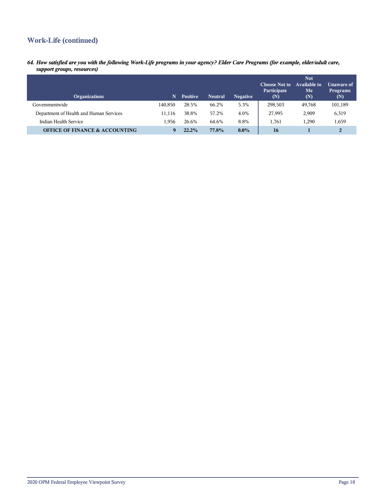## **Work-Life (continued)**

*64. How satisfied are you with the following Work-Life programs in your agency? Elder Care Programs (for example, elder/adult care, support groups, resources)*

| <b>Organizations</b>                      | N       | <b>Positive</b> | <b>Neutral</b> | <b>Negative</b> | <b>Choose Not to</b><br>Participate<br>(N) | <b>Not</b><br>Available to<br>Me<br>(N) | Unaware of<br><b>Programs</b><br>(N) |
|-------------------------------------------|---------|-----------------|----------------|-----------------|--------------------------------------------|-----------------------------------------|--------------------------------------|
| Governmentwide                            | 140.850 | 28.5%           | 66.2%          | 5.3%            | 298,503                                    | 49,768                                  | 101,189                              |
| Department of Health and Human Services   | 1.116   | 38.8%           | 57.2%          | 4.0%            | 27,995                                     | 2,909                                   | 6,319                                |
| Indian Health Service                     | 1.956   | 26.6%           | 64.6%          | 8.8%            | 1.761                                      | 1.290                                   | 1,659                                |
| <b>OFFICE OF FINANCE &amp; ACCOUNTING</b> | Q       | 22.2%           | 77.8%          | $0.0\%$         | 16                                         |                                         | 2                                    |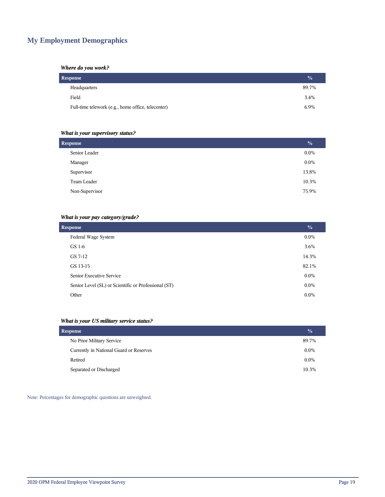## **My Employment Demographics**

#### *Where do you work?*

| <b>Response</b>                                    | $\frac{1}{2}$ |
|----------------------------------------------------|---------------|
| Headquarters                                       | 89.7%         |
| Field                                              | 3.4%          |
| Full-time telework (e.g., home office, telecenter) | 6.9%          |

#### *What is your supervisory status?*

| <b>Response</b> | $\frac{1}{2}$ |
|-----------------|---------------|
| Senior Leader   | $0.0\%$       |
| Manager         | $0.0\%$       |
| Supervisor      | 13.8%         |
| Team Leader     | 10.3%         |
| Non-Supervisor  | 75.9%         |
|                 |               |

#### *What is your pay category/grade?*

| <b>Response</b>                                      | $\frac{0}{0}$ |
|------------------------------------------------------|---------------|
| Federal Wage System                                  | $0.0\%$       |
| GS 1-6                                               | 3.6%          |
| GS 7-12                                              | 14.3%         |
| GS 13-15                                             | 82.1%         |
| Senior Executive Service                             | $0.0\%$       |
| Senior Level (SL) or Scientific or Professional (ST) | $0.0\%$       |
| Other                                                | $0.0\%$       |

#### *What is your US military service status?*

| <b>Response</b>                         | $\frac{0}{0}$ |
|-----------------------------------------|---------------|
| No Prior Military Service               | 89.7%         |
| Currently in National Guard or Reserves | $0.0\%$       |
| Retired                                 | $0.0\%$       |
| Separated or Discharged                 | 10.3%         |

Note: Percentages for demographic questions are unweighted.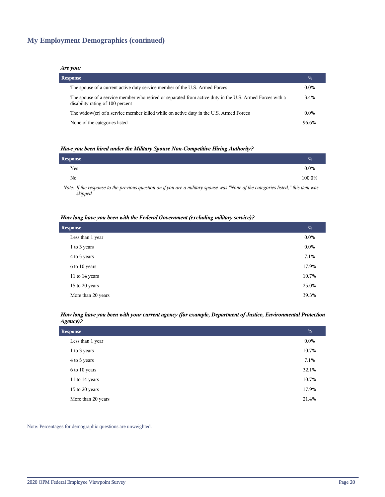## **My Employment Demographics (continued)**

#### *Are you:*

| <b>Response</b>                                                                                                                              | $\frac{0}{0}$ |
|----------------------------------------------------------------------------------------------------------------------------------------------|---------------|
| The spouse of a current active duty service member of the U.S. Armed Forces                                                                  | $0.0\%$       |
| The spouse of a service member who retired or separated from active duty in the U.S. Armed Forces with a<br>disability rating of 100 percent | 3.4%          |
| The widow(er) of a service member killed while on active duty in the U.S. Armed Forces                                                       | $0.0\%$       |
| None of the categories listed                                                                                                                | 96.6%         |

#### *Have you been hired under the Military Spouse Non-Competitive Hiring Authority?*

| Response |                                                                                                                  |  |          |          |  | $\frac{0}{0}$ |
|----------|------------------------------------------------------------------------------------------------------------------|--|----------|----------|--|---------------|
| Yes      |                                                                                                                  |  |          |          |  | $0.0\%$       |
| No       |                                                                                                                  |  |          |          |  | 100.0%        |
| .        | rangement in the contract of the contract of the contract of the contract of the contract of the contract of the |  | $\cdots$ | $\cdots$ |  |               |

*Note: If the response to the previous question on if you are a military spouse was "None of the categories listed," this item was skipped.*

#### *How long have you been with the Federal Government (excluding military service)?*

| <b>Response</b>    | $\frac{0}{0}$ |
|--------------------|---------------|
| Less than 1 year   | $0.0\%$       |
| 1 to 3 years       | $0.0\%$       |
| 4 to 5 years       | 7.1%          |
| 6 to 10 years      | 17.9%         |
| 11 to 14 years     | 10.7%         |
| 15 to 20 years     | 25.0%         |
| More than 20 years | 39.3%         |

#### *How long have you been with your current agency (for example, Department of Justice, Environmental Protection Agency)?*

| <b>Response</b>    | $\frac{0}{0}$ |
|--------------------|---------------|
| Less than 1 year   | $0.0\%$       |
| 1 to 3 years       | 10.7%         |
| 4 to 5 years       | 7.1%          |
| 6 to 10 years      | 32.1%         |
| 11 to 14 years     | 10.7%         |
| 15 to 20 years     | 17.9%         |
| More than 20 years | 21.4%         |

Note: Percentages for demographic questions are unweighted.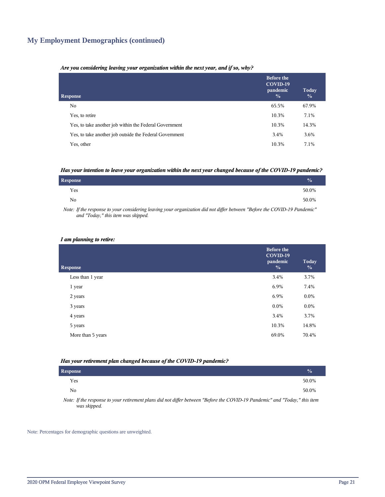## **My Employment Demographics (continued)**

#### *Are you considering leaving your organization within the next year, and if so, why?*

| <b>Response</b>                                         | <b>Before the</b><br>COVID-19<br>pandemic<br>$\frac{0}{0}$ | Today<br>$\frac{0}{0}$ |
|---------------------------------------------------------|------------------------------------------------------------|------------------------|
| No.                                                     | 65.5%                                                      | 67.9%                  |
| Yes, to retire                                          | 10.3%                                                      | 7.1%                   |
| Yes, to take another job within the Federal Government  | 10.3%                                                      | 14.3%                  |
| Yes, to take another job outside the Federal Government | 3.4%                                                       | 3.6%                   |
| Yes, other                                              | 10.3%                                                      | 7.1%                   |

#### *Has your intention to leave your organization within the next year changed because of the COVID-19 pandemic?*

| Response       | $\frac{1}{2}$ |
|----------------|---------------|
| Yes            | 50.0%         |
| N <sub>0</sub> | 50.0%         |

*Note: If the response to your considering leaving your organization did not differ between "Before the COVID-19 Pandemic" and "Today," this item was skipped.*

#### *I am planning to retire:*

| <b>Response</b>   | <b>Before the</b><br>COVID-19<br>pandemic<br>$\frac{0}{0}$ | Today<br>$\frac{0}{0}$ |
|-------------------|------------------------------------------------------------|------------------------|
| Less than 1 year  | 3.4%                                                       | 3.7%                   |
| 1 year            | 6.9%                                                       | 7.4%                   |
| 2 years           | 6.9%                                                       | $0.0\%$                |
| 3 years           | $0.0\%$                                                    | $0.0\%$                |
| 4 years           | 3.4%                                                       | 3.7%                   |
| 5 years           | 10.3%                                                      | 14.8%                  |
| More than 5 years | 69.0%                                                      | 70.4%                  |
|                   |                                                            |                        |

#### *Has your retirement plan changed because of the COVID-19 pandemic?*

| <b>Response</b> |  |  |  |  |  | $\sqrt{a}$ |
|-----------------|--|--|--|--|--|------------|
| Yes             |  |  |  |  |  | 50.0%      |
| No              |  |  |  |  |  | 50.0%      |
| $\mathbf{v}$    |  |  |  |  |  |            |

*Note: If the response to your retirement plans did not differ between "Before the COVID-19 Pandemic" and "Today," this item was skipped.*

Note: Percentages for demographic questions are unweighted.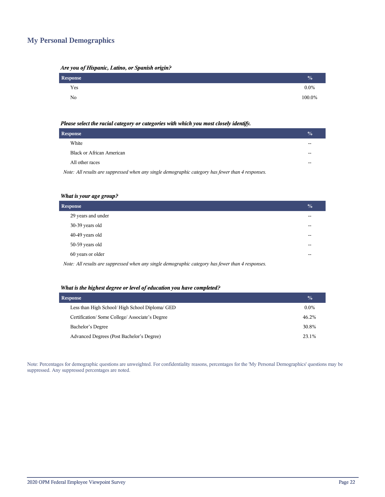## **My Personal Demographics**

| Are you of Hispanic, Latino, or Spanish origin? |  |  |  |
|-------------------------------------------------|--|--|--|
|                                                 |  |  |  |

| Response | $\frac{0}{0}$ |
|----------|---------------|
| Yes      | $0.0\%$       |
| No       | 100.0%        |

#### *Please select the racial category or categories with which you most closely identify.*

| <b>Response</b>                                                                                   | $\frac{0}{0}$ |
|---------------------------------------------------------------------------------------------------|---------------|
| White                                                                                             |               |
| Black or African American                                                                         |               |
| All other races                                                                                   |               |
| Note: All results are suppressed when any single demographic category has fewer than 4 responses. |               |

#### *What is your age group?*

| <b>Response</b>    | $\frac{0}{0}$            |
|--------------------|--------------------------|
| 29 years and under | $\sim$                   |
| 30-39 years old    | $-$                      |
| 40-49 years old    | $-$                      |
| 50-59 years old    | $\overline{\phantom{a}}$ |
| 60 years or older  | --                       |
| .                  |                          |

*Note: All results are suppressed when any single demographic category has fewer than 4 responses.*

#### *What is the highest degree or level of education you have completed?*

| <b>Response</b>                                 | $\frac{0}{0}$ |
|-------------------------------------------------|---------------|
| Less than High School/ High School Diploma/ GED | $0.0\%$       |
| Certification/Some College/Associate's Degree   | 46.2%         |
| Bachelor's Degree                               | 30.8%         |
| Advanced Degrees (Post Bachelor's Degree)       | 23.1%         |

Note: Percentages for demographic questions are unweighted. For confidentiality reasons, percentages for the 'My Personal Demographics' questions may be suppressed. Any suppressed percentages are noted.